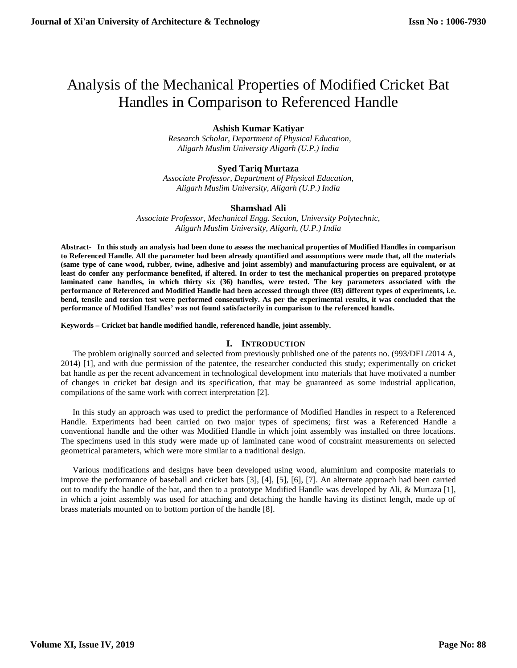# Analysis of the Mechanical Properties of Modified Cricket Bat Handles in Comparison to Referenced Handle

# **Ashish Kumar Katiyar**

 *Research Scholar, Department of Physical Education, Aligarh Muslim University Aligarh (U.P.) India*

# **Syed Tariq Murtaza**

*Associate Professor, Department of Physical Education, Aligarh Muslim University, Aligarh (U.P.) India*

#### **Shamshad Ali**

*Associate Professor, Mechanical Engg. Section, University Polytechnic, Aligarh Muslim University, Aligarh, (U.P.) India*

**Abstract- In this study an analysis had been done to assess the mechanical properties of Modified Handles in comparison to Referenced Handle. All the parameter had been already quantified and assumptions were made that, all the materials (same type of cane wood, rubber, twine, adhesive and joint assembly) and manufacturing process are equivalent, or at least do confer any performance benefited, if altered. In order to test the mechanical properties on prepared prototype**  laminated cane handles, in which thirty six (36) handles, were tested. The key parameters associated with the **performance of Referenced and Modified Handle had been accessed through three (03) different types of experiments, i.e. bend, tensile and torsion test were performed consecutively. As per the experimental results, it was concluded that the performance of Modified Handles' was not found satisfactorily in comparison to the referenced handle.**

**Keywords – Cricket bat handle modified handle, referenced handle, joint assembly.**

## **I. INTRODUCTION**

The problem originally sourced and selected from previously published one of the patents no. (993/DEL/2014 A, 2014) [1], and with due permission of the patentee, the researcher conducted this study; experimentally on cricket bat handle as per the recent advancement in technological development into materials that have motivated a number of changes in cricket bat design and its specification, that may be guaranteed as some industrial application, compilations of the same work with correct interpretation [2].

In this study an approach was used to predict the performance of Modified Handles in respect to a Referenced Handle. Experiments had been carried on two major types of specimens; first was a Referenced Handle a conventional handle and the other was Modified Handle in which joint assembly was installed on three locations. The specimens used in this study were made up of laminated cane wood of constraint measurements on selected geometrical parameters, which were more similar to a traditional design.

Various modifications and designs have been developed using wood, aluminium and composite materials to improve the performance of baseball and cricket bats [3], [4], [5], [6], [7]. An alternate approach had been carried out to modify the handle of the bat, and then to a prototype Modified Handle was developed by Ali, & Murtaza [1], in which a joint assembly was used for attaching and detaching the handle having its distinct length, made up of brass materials mounted on to bottom portion of the handle [8].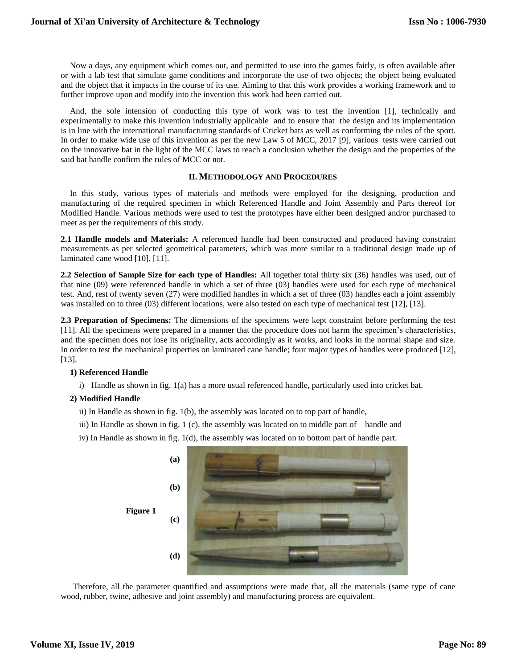Now a days, any equipment which comes out, and permitted to use into the games fairly, is often available after or with a lab test that simulate game conditions and incorporate the use of two objects; the object being evaluated and the object that it impacts in the course of its use. Aiming to that this work provides a working framework and to further improve upon and modify into the invention this work had been carried out.

And, the sole intension of conducting this type of work was to test the invention [1], technically and experimentally to make this invention industrially applicable and to ensure that the design and its implementation is in line with the international manufacturing standards of Cricket bats as well as conforming the rules of the sport. In order to make wide use of this invention as per the new Law 5 of MCC, 2017 [9], various tests were carried out on the innovative bat in the light of the MCC laws to reach a conclusion whether the design and the properties of the said bat handle confirm the rules of MCC or not.

#### **II. METHODOLOGY AND PROCEDURES**

In this study, various types of materials and methods were employed for the designing, production and manufacturing of the required specimen in which Referenced Handle and Joint Assembly and Parts thereof for Modified Handle. Various methods were used to test the prototypes have either been designed and/or purchased to meet as per the requirements of this study.

**2.1 Handle models and Materials:** A referenced handle had been constructed and produced having constraint measurements as per selected geometrical parameters, which was more similar to a traditional design made up of laminated cane wood [10], [11].

**2.2 Selection of Sample Size for each type of Handles:** All together total thirty six (36) handles was used, out of that nine (09) were referenced handle in which a set of three (03) handles were used for each type of mechanical test. And, rest of twenty seven (27) were modified handles in which a set of three (03) handles each a joint assembly was installed on to three (03) different locations, were also tested on each type of mechanical test [12], [13].

**2.3 Preparation of Specimens:** The dimensions of the specimens were kept constraint before performing the test [11]. All the specimens were prepared in a manner that the procedure does not harm the specimen's characteristics, and the specimen does not lose its originality, acts accordingly as it works, and looks in the normal shape and size. In order to test the mechanical properties on laminated cane handle; four major types of handles were produced [12], [13].

### **1) Referenced Handle**

i) Handle as shown in fig. 1(a) has a more usual referenced handle, particularly used into cricket bat.

#### **2) Modified Handle**

- ii) In Handle as shown in fig. 1(b), the assembly was located on to top part of handle,
- iii) In Handle as shown in fig. 1 (c), the assembly was located on to middle part of handle and
- iv) In Handle as shown in fig. 1(d), the assembly was located on to bottom part of handle part.



Therefore, all the parameter quantified and assumptions were made that, all the materials (same type of cane wood, rubber, twine, adhesive and joint assembly) and manufacturing process are equivalent.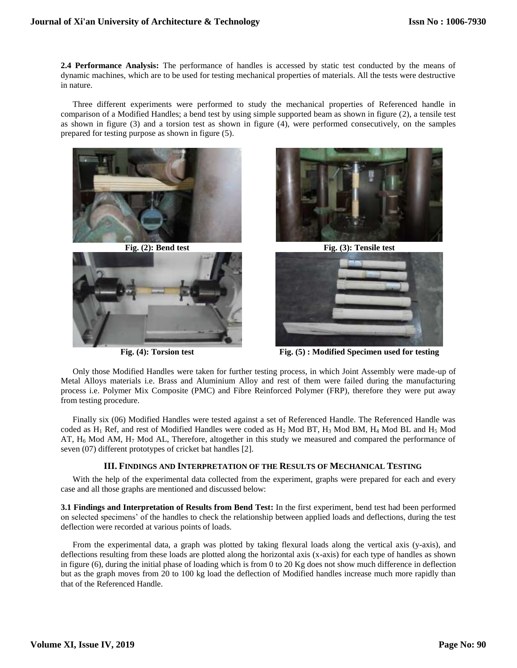**2.4 Performance Analysis:** The performance of handles is accessed by static test conducted by the means of dynamic machines, which are to be used for testing mechanical properties of materials. All the tests were destructive in nature.

Three different experiments were performed to study the mechanical properties of Referenced handle in comparison of a Modified Handles; a bend test by using simple supported beam as shown in figure (2), a tensile test as shown in figure (3) and a torsion test as shown in figure (4), were performed consecutively, on the samples prepared for testing purpose as shown in figure (5).











**Fig. (4): Torsion test Fig. (5) : Modified Specimen used for testing**

Only those Modified Handles were taken for further testing process, in which Joint Assembly were made-up of Metal Alloys materials i.e. Brass and Aluminium Alloy and rest of them were failed during the manufacturing process i.e. Polymer Mix Composite (PMC) and Fibre Reinforced Polymer (FRP), therefore they were put away from testing procedure.

Finally six (06) Modified Handles were tested against a set of Referenced Handle. The Referenced Handle was coded as H<sup>1</sup> Ref, and rest of Modified Handles were coded as H<sup>2</sup> Mod BT, H<sup>3</sup> Mod BM, H<sup>4</sup> Mod BL and H<sup>5</sup> Mod AT,  $H_6$  Mod AM,  $H_7$  Mod AL, Therefore, altogether in this study we measured and compared the performance of seven (07) different prototypes of cricket bat handles [2].

# **III. FINDINGS AND INTERPRETATION OF THE RESULTS OF MECHANICAL TESTING**

With the help of the experimental data collected from the experiment, graphs were prepared for each and every case and all those graphs are mentioned and discussed below:

**3.1 Findings and Interpretation of Results from Bend Test:** In the first experiment, bend test had been performed on selected specimens' of the handles to check the relationship between applied loads and deflections, during the test deflection were recorded at various points of loads.

From the experimental data, a graph was plotted by taking flexural loads along the vertical axis (y-axis), and deflections resulting from these loads are plotted along the horizontal axis (x-axis) for each type of handles as shown in figure (6), during the initial phase of loading which is from 0 to 20 Kg does not show much difference in deflection but as the graph moves from 20 to 100 kg load the deflection of Modified handles increase much more rapidly than that of the Referenced Handle.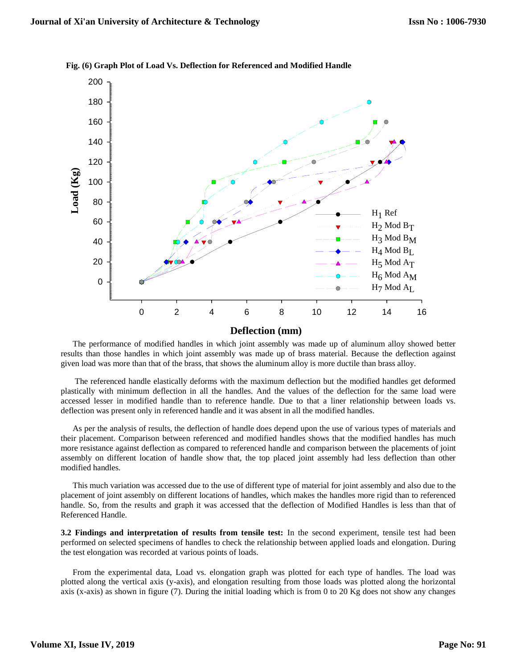

**Fig. (6) Graph Plot of Load Vs. Deflection for Referenced and Modified Handle**

The performance of modified handles in which joint assembly was made up of aluminum alloy showed better results than those handles in which joint assembly was made up of brass material. Because the deflection against given load was more than that of the brass, that shows the aluminum alloy is more ductile than brass alloy.

The referenced handle elastically deforms with the maximum deflection but the modified handles get deformed plastically with minimum deflection in all the handles. And the values of the deflection for the same load were accessed lesser in modified handle than to reference handle. Due to that a liner relationship between loads vs. deflection was present only in referenced handle and it was absent in all the modified handles.

As per the analysis of results, the deflection of handle does depend upon the use of various types of materials and their placement. Comparison between referenced and modified handles shows that the modified handles has much more resistance against deflection as compared to referenced handle and comparison between the placements of joint assembly on different location of handle show that, the top placed joint assembly had less deflection than other modified handles.

This much variation was accessed due to the use of different type of material for joint assembly and also due to the placement of joint assembly on different locations of handles, which makes the handles more rigid than to referenced handle. So, from the results and graph it was accessed that the deflection of Modified Handles is less than that of Referenced Handle.

**3.2 Findings and interpretation of results from tensile test:** In the second experiment, tensile test had been performed on selected specimens of handles to check the relationship between applied loads and elongation. During the test elongation was recorded at various points of loads.

From the experimental data, Load vs. elongation graph was plotted for each type of handles. The load was plotted along the vertical axis (y-axis), and elongation resulting from those loads was plotted along the horizontal axis (x-axis) as shown in figure (7). During the initial loading which is from 0 to 20 Kg does not show any changes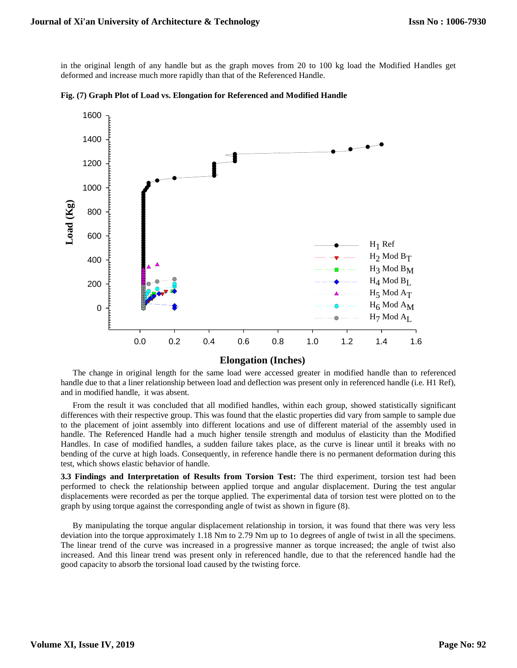in the original length of any handle but as the graph moves from 20 to 100 kg load the Modified Handles get deformed and increase much more rapidly than that of the Referenced Handle.



**Fig. (7) Graph Plot of Load vs. Elongation for Referenced and Modified Handle**

### **Elongation (Inches)**

The change in original length for the same load were accessed greater in modified handle than to referenced handle due to that a liner relationship between load and deflection was present only in referenced handle (i.e. H1 Ref), and in modified handle, it was absent.

From the result it was concluded that all modified handles, within each group, showed statistically significant differences with their respective group. This was found that the elastic properties did vary from sample to sample due to the placement of joint assembly into different locations and use of different material of the assembly used in handle. The Referenced Handle had a much higher tensile strength and modulus of elasticity than the Modified Handles. In case of modified handles, a sudden failure takes place, as the curve is linear until it breaks with no bending of the curve at high loads. Consequently, in reference handle there is no permanent deformation during this test, which shows elastic behavior of handle.

**3.3 Findings and Interpretation of Results from Torsion Test:** The third experiment, torsion test had been performed to check the relationship between applied torque and angular displacement. During the test angular displacements were recorded as per the torque applied. The experimental data of torsion test were plotted on to the graph by using torque against the corresponding angle of twist as shown in figure (8).

By manipulating the torque angular displacement relationship in torsion, it was found that there was very less deviation into the torque approximately 1.18 Nm to 2.79 Nm up to 1o degrees of angle of twist in all the specimens. The linear trend of the curve was increased in a progressive manner as torque increased; the angle of twist also increased. And this linear trend was present only in referenced handle, due to that the referenced handle had the good capacity to absorb the torsional load caused by the twisting force.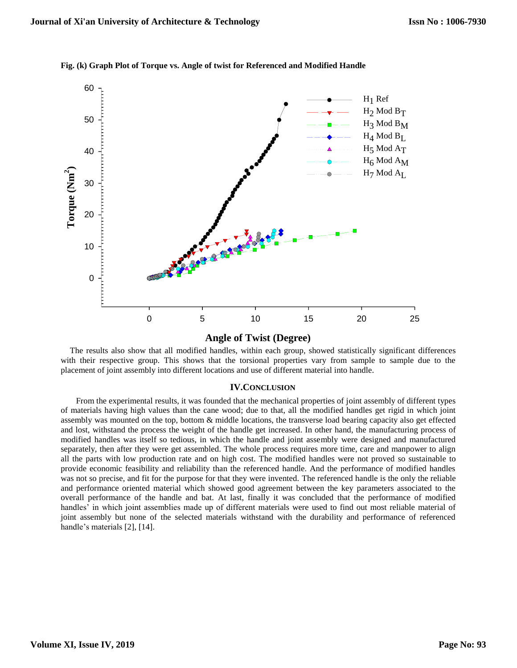

**Fig. (k) Graph Plot of Torque vs. Angle of twist for Referenced and Modified Handle**

**Angle of Twist (Degree)**

The results also show that all modified handles, within each group, showed statistically significant differences with their respective group. This shows that the torsional properties vary from sample to sample due to the placement of joint assembly into different locations and use of different material into handle.

#### **IV.CONCLUSION**

From the experimental results, it was founded that the mechanical properties of joint assembly of different types of materials having high values than the cane wood; due to that, all the modified handles get rigid in which joint assembly was mounted on the top, bottom & middle locations, the transverse load bearing capacity also get effected and lost, withstand the process the weight of the handle get increased. In other hand, the manufacturing process of modified handles was itself so tedious, in which the handle and joint assembly were designed and manufactured separately, then after they were get assembled. The whole process requires more time, care and manpower to align all the parts with low production rate and on high cost. The modified handles were not proved so sustainable to provide economic feasibility and reliability than the referenced handle. And the performance of modified handles was not so precise, and fit for the purpose for that they were invented. The referenced handle is the only the reliable and performance oriented material which showed good agreement between the key parameters associated to the overall performance of the handle and bat. At last, finally it was concluded that the performance of modified handles' in which joint assemblies made up of different materials were used to find out most reliable material of joint assembly but none of the selected materials withstand with the durability and performance of referenced handle's materials [2], [14].